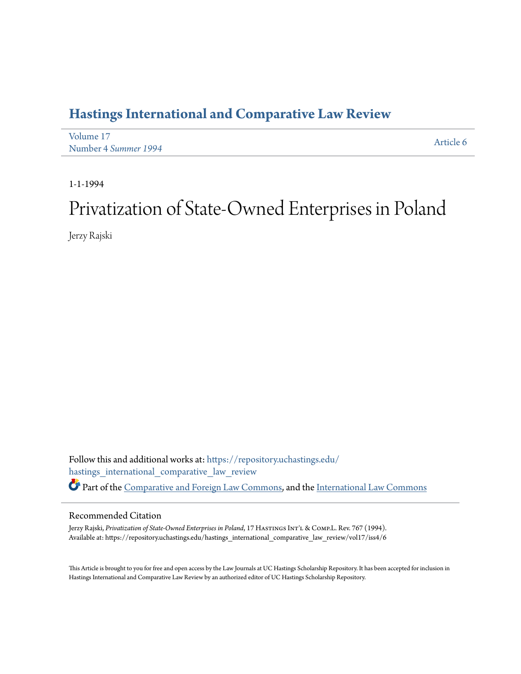# **[Hastings International and Comparative Law Review](https://repository.uchastings.edu/hastings_international_comparative_law_review?utm_source=repository.uchastings.edu%2Fhastings_international_comparative_law_review%2Fvol17%2Fiss4%2F6&utm_medium=PDF&utm_campaign=PDFCoverPages)**

| Volume 17            | Article 6 |
|----------------------|-----------|
| Number 4 Summer 1994 |           |

1-1-1994

# Privatization of State-Owned Enterprises in Poland

Jerzy Rajski

Follow this and additional works at: [https://repository.uchastings.edu/](https://repository.uchastings.edu/hastings_international_comparative_law_review?utm_source=repository.uchastings.edu%2Fhastings_international_comparative_law_review%2Fvol17%2Fiss4%2F6&utm_medium=PDF&utm_campaign=PDFCoverPages) [hastings\\_international\\_comparative\\_law\\_review](https://repository.uchastings.edu/hastings_international_comparative_law_review?utm_source=repository.uchastings.edu%2Fhastings_international_comparative_law_review%2Fvol17%2Fiss4%2F6&utm_medium=PDF&utm_campaign=PDFCoverPages) Part of the [Comparative and Foreign Law Commons](http://network.bepress.com/hgg/discipline/836?utm_source=repository.uchastings.edu%2Fhastings_international_comparative_law_review%2Fvol17%2Fiss4%2F6&utm_medium=PDF&utm_campaign=PDFCoverPages), and the [International Law Commons](http://network.bepress.com/hgg/discipline/609?utm_source=repository.uchastings.edu%2Fhastings_international_comparative_law_review%2Fvol17%2Fiss4%2F6&utm_medium=PDF&utm_campaign=PDFCoverPages)

#### Recommended Citation

Jerzy Rajski, *Privatization of State-Owned Enterprises in Poland*, 17 HastingsInt'l & Comp.L. Rev. 767 (1994). Available at: https://repository.uchastings.edu/hastings\_international\_comparative\_law\_review/vol17/iss4/6

This Article is brought to you for free and open access by the Law Journals at UC Hastings Scholarship Repository. It has been accepted for inclusion in Hastings International and Comparative Law Review by an authorized editor of UC Hastings Scholarship Repository.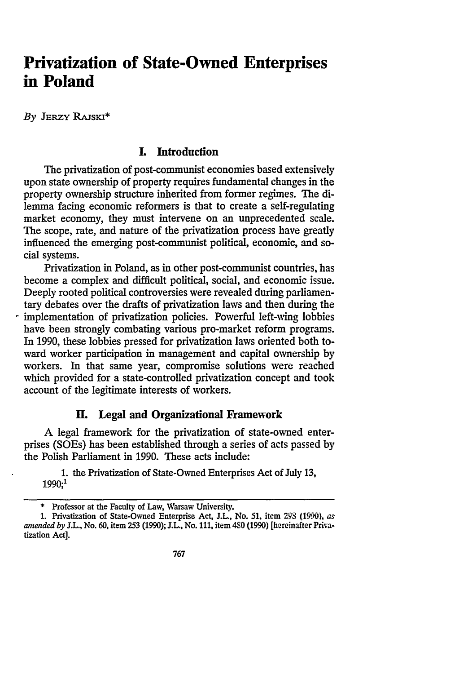# **Privatization of State-Owned Enterprises in Poland**

*By* **JERZY RAJSKI\***

# **I. Introduction**

The privatization of post-communist economies based extensively upon state ownership of property requires fundamental changes in the property ownership structure inherited from former regimes. The dilemma facing economic reformers is that to create a self-regulating market economy, they must intervene on an unprecedented scale. The scope, rate, and nature of the privatization process have greatly influenced the emerging post-communist political, economic, and social systems.

Privatization in Poland, as in other post-communist countries, has become a complex and difficult political, social, and economic issue. Deeply rooted political controversies were revealed during parliamentary debates over the drafts of privatization laws and then during the implementation of privatization policies. Powerful left-wing lobbies have been strongly combating various pro-market reform programs. In 1990, these lobbies pressed for privatization laws oriented both toward worker participation in management and capital ownership by workers. In that same year, compromise solutions were reached which provided for a state-controlled privatization concept and took account of the legitimate interests of workers.

## **H. Legal and Organizational Framework**

A legal framework for the privatization of state-owned enterprises (SOEs) has been established through a series of acts passed by the Polish Parliament in 1990. These acts include:

1. the Privatization of State-Owned Enterprises Act of July 13, 1990;1

<sup>\*</sup> Professor at the Faculty of Law, Warsaw University.

**<sup>1.</sup>** Privatization of State-Owned Enterprise Act, **J.L.,** No. **51,** item **298** (1990), *as amended by* **J.L.,** No. 60, item 253 (1990); J.L., No. 111, item 480 (1990) [hereinafter Privatization Act].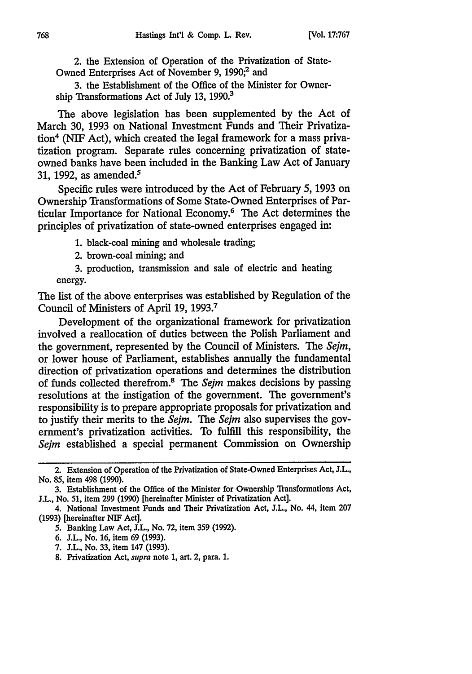2. the Extension of Operation of the Privatization of State-Owned Enterprises Act of November **9, 1990;2** and

**3.** the Establishment of the Office of the Minister for Ownership Transformations Act of July **13, 1990.?**

The above legislation has been supplemented **by** the Act of March 30, 1993 on National Investment Funds and Their Privatization4 (NIF Act), which created the legal framework for a mass privatization program. Separate rules concerning privatization of stateowned banks have been included in the Banking Law Act of January **31, 1992,** as amended.5

Specific rules were introduced **by** the Act of February **5, 1993** on Ownership Transformations of Some State-Owned Enterprises of Particular Importance for National Economy.6 The Act determines the principles of privatization of state-owned enterprises engaged in:

**1.** black-coal mining and wholesale trading;

2. brown-coal mining; and

**3.** production, transmission and sale of electric and heating energy.

The list of the above enterprises was established by Regulation of the Council of Ministers of April 19, 1993.

Development of the organizational framework for privatization involved a reallocation of duties between the Polish Parliament and the government, represented by the Council of Ministers. The *Sejm,* or lower house of Parliament, establishes annually the fundamental direction of privatization operations and determines the distribution of funds collected therefrom.<sup>8</sup> The *Sejm* makes decisions by passing resolutions at the instigation of the government. The government's responsibility is to prepare appropriate proposals for privatization and to justify their merits to the *Sejm. The Sejm* also supervises the government's privatization activities. To fulfill this responsibility, the *Sejm* established a special permanent Commission on Ownership

<sup>2.</sup> Extension of Operation of the Privatization of State-Owned Enterprises Act, J.L., No. **85,** item 498 (1990).

**<sup>3.</sup>** Establishment of the Office of the Minister for Ownership Transformations Act, J.L., No. **51,** item **299 (1990)** [hereinafter Minister of Privatization Act].

<sup>4.</sup> National Investment Funds and Their Privatization Act, **J.L.,** No. 44, item **207 (1993)** [hereinafter **NIF** Act].

**<sup>5.</sup>** Banking Law Act, **J.L.,** No. **72,** item **359 (1992).**

**<sup>6.</sup> L.,** No. **16,** item **69 (1993).**

**<sup>7.</sup> J.L.,** No. **33,** item 147 **(1993).**

**<sup>8.</sup>** Privatization Act, supra note **1,** art. 2, para. **1.**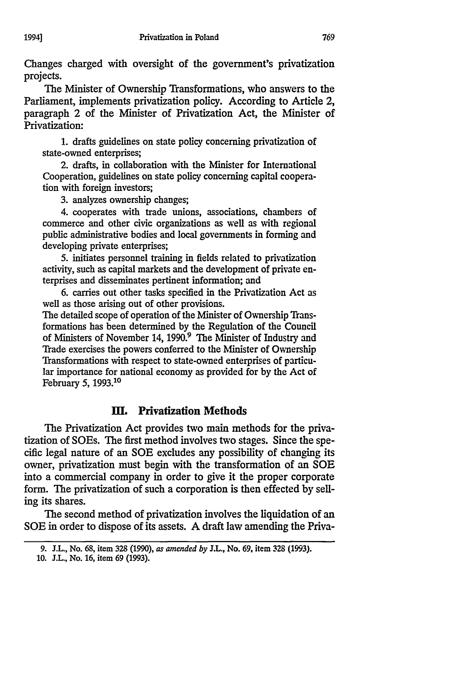Changes charged with oversight of the government's privatization projects.

The Minister of Ownership Transformations, who answers to the Parliament, implements privatization policy. According to Article 2, paragraph 2 of the Minister of Privatization Act, the Minister of Privatization:

1. drafts guidelines on state policy concerning privatization of state-owned enterprises;

2. drafts, in collaboration with the Minister for International Cooperation, guidelines on state policy concerning capital cooperation with foreign investors;

3. analyzes ownership changes;

4. cooperates with trade unions, associations, chambers of commerce and other civic organizations as well as with regional public administrative bodies and local governments in forming and developing private enterprises;

5. initiates personnel training in fields related to privatization activity, such as capital markets and the development of private enterprises and disseminates pertinent information; and

6. carries out other tasks specified in the Privatization Act as well as those arising out of other provisions.

The detailed scope of operation of the Minister of Ownership Transformations has been determined by the Regulation of the Council of Ministers of November 14, 1990.<sup>9</sup> The Minister of Industry and Trade exercises the powers conferred to the Minister of Ownership Transformations with respect to state-owned enterprises of particular importance for national economy as provided for by the Act of February 5, 1993.10

#### **HI.** Privatization Methods

The Privatization Act provides two main methods for the privatization of SOEs. The first method involves two stages. Since the specific legal nature of an **SOE** excludes any possibility of changing its owner, privatization must begin with the transformation of an **SOE** into a commercial company in order to give it the proper corporate form. The privatization of such a corporation is then effected by selling its shares.

The second method of privatization involves the liquidation of an **SOE** in order to dispose of its assets. A draft law amending the Priva-

<sup>9.</sup> J.L., No. 68, item 328 **(1990),** *as amended by* J.L., No. **69,** item 328 (1993).

<sup>10.</sup> J.L., No. 16, item 69 (1993).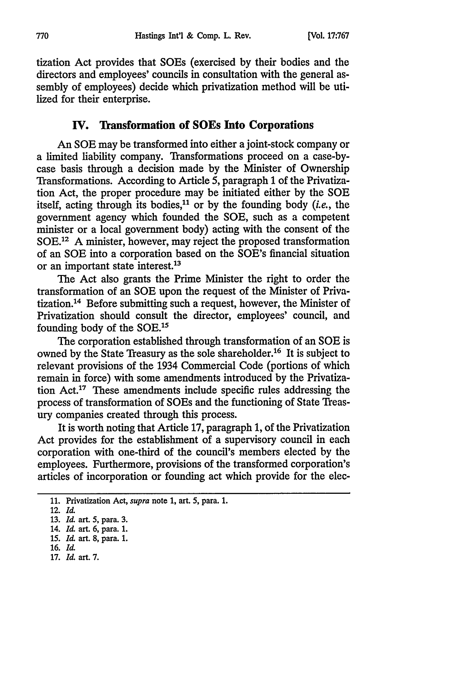tization Act provides that SOEs (exercised by their bodies and the directors and employees' councils in consultation with the general assembly of employees) decide which privatization method will be utilized for their enterprise.

# IV. Transformation of SOEs Into Corporations

An **SOE** may be transformed into either a joint-stock company or a limited liability company. Transformations proceed on a case-bycase basis through a decision made by the Minister of Ownership Transformations. According to Article 5, paragraph 1 of the Privatization Act, the proper procedure may be initiated either by the **SOE** itself, acting through its bodies,11 or by the founding body *(i.e.,* the government agency which founded the SOE, such as a competent minister or a local government body) acting with the consent of the  $SOE<sup>12</sup>$  A minister, however, may reject the proposed transformation of an **SOE** into a corporation based on the SOE's financial situation or an important state interest.<sup>13</sup>

The Act also grants the Prime Minister the right to order the transformation of an **SOE** upon the request of the Minister of Privatization.14 Before submitting such a request, however, the Minister of Privatization should consult the director, employees' council, and founding body of the **SOE.15**

The corporation established through transformation of an **SOE** is owned by the State Treasury as the sole shareholder.<sup>16</sup> It is subject to relevant provisions of the 1934 Commercial Code (portions of which remain in force) with some amendments introduced by the Privatization  $Act.^{17}$  These amendments include specific rules addressing the process of transformation of SOEs and the functioning of State Treasury companies created through this process.

It is worth noting that Article 17, paragraph 1, of the Privatization Act provides for the establishment of a supervisory council in each corporation with one-third of the council's members elected by the employees. Furthermore, provisions of the transformed corporation's articles of incorporation or founding act which provide for the elec-

17. *Id.* art. 7.

<sup>11.</sup> Privatization Act, *supra* note 1, art. **5,** para. 1.

<sup>12.</sup> *Id.*

**<sup>13.</sup>** *Id.* art. **5,** para. 3.

<sup>14.</sup> *Id.* art. 6, para. **1.**

*<sup>15.</sup> Id.* art. **8,** para. 1.

<sup>16.</sup> *Id.*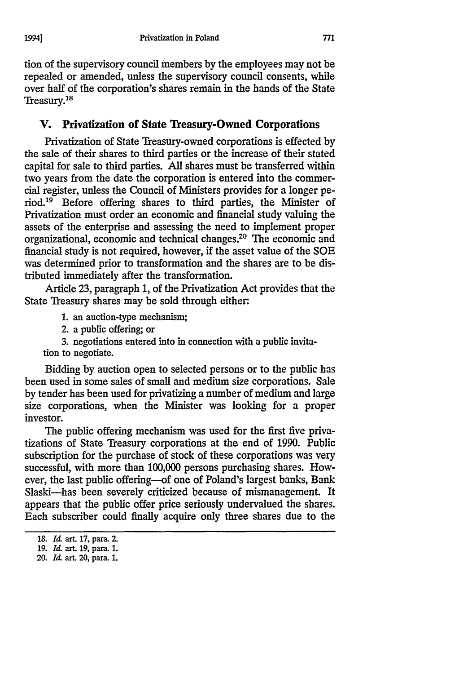tion of the supervisory council members by the employees may not be repealed or amended, unless the supervisory council consents, while over half of the corporation's shares remain in the hands of the State Treasury.<sup>18</sup>

#### **V. Privatization of State Treasury-Owned Corporations**

Privatization **of State** Treasury-owned corporations is effected **by** the sale of their shares to third parties or the increase of their stated capital for sale to third parties. **All** shares must be transferred within two years from the date the corporation is entered into the commercial register, unless the Council of Ministers provides for a longer period.'9 Before offering shares to third parties, the Minister of Privatization must order an economic and financial study valuing the assets of the enterprise and assessing the need to implement proper organizational, economic and technical changes.<sup>20</sup> The economic and financial study is not required, however, if the asset value of the **SOE** was determined prior to transformation and the shares are to be distributed immediately after the transformation.

Article **23,** paragraph **1,** of the Privatization Act provides that the State Treasury shares may be sold through either.

**1.** an auction-type mechanism;

2. a public offering; or

**3.** negotiations entered into in connection with a public invitation to negotiate.

Bidding **by** auction open to selected persons or to the public has been used in some sales of small and medium size corporations. Sale by tender has been used for privatizing a number of medium and large size corporations, when the Minister was looking for a proper investor.

The public offering mechanism was used for the first five privatizations of State Treasury corporations at the end of 1990. Public subscription for the purchase of stock of these corporations was very successful, with more than 100,000 persons purchasing shares. However, the last public offering-of one of Poland's largest banks, Bank Slaski-has been severely criticized because of mismanagement. It appears that the public offer price seriously undervalued the shares. Each subscriber could finally acquire only three shares due to the

**<sup>18.</sup>** *Id.* art. 17, para. 2.

<sup>19.</sup> *Id.* art. 19, para. 1.

<sup>20.</sup> *Id.* art. 20, para. **1.**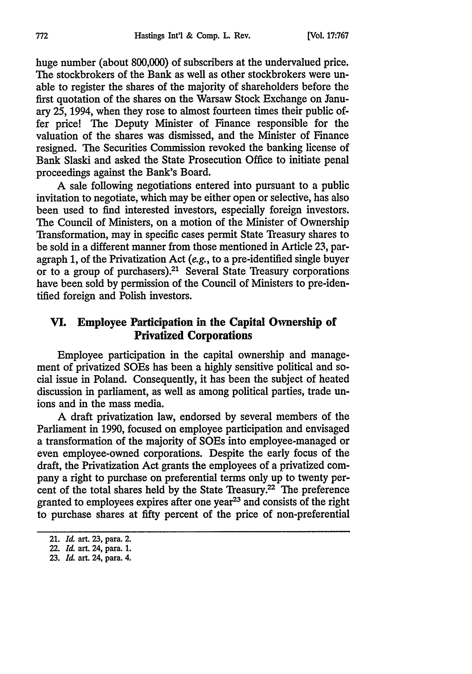huge number (about 800,000) of subscribers at the undervalued price. The stockbrokers of the Bank as well as other stockbrokers were unable to register the shares of the majority of shareholders before the first quotation of the shares on the Warsaw Stock Exchange on January 25, 1994, when they rose to almost fourteen times their public offer price! The Deputy Minister of Finance responsible for the valuation of the shares was dismissed, and the Minister of Finance resigned. The Securities Commission revoked the banking license of Bank Slaski and asked the State Prosecution Office to initiate penal proceedings against the Bank's Board.

A sale following negotiations entered into pursuant to a public invitation to negotiate, which may be either open or selective, has also been used to find interested investors, especially foreign investors. The Council of Ministers, on a motion of the Minister of Ownership Transformation, may in specific cases permit State Treasury shares to be sold in a different manner from those mentioned in Article 23, paragraph 1, of the Privatization Act (e.g., to a pre-identified single buyer or to a group of purchasers).21 Several State Treasury corporations have been sold by permission of the Council of Ministers to pre-identiffed foreign and Polish investors.

# **VI. Employee Participation in the Capital Ownership of Privatized Corporations**

Employee participation in the capital ownership and management of privatized SOEs has been a highly sensitive political and social issue in Poland. Consequently, it has been the subject of heated discussion in parliament, as well as among political parties, trade unions and in the mass media.

A draft privatization law, endorsed by several members of the Parliament in 1990, focused on employee participation and envisaged a transformation of the majority of SOEs into employee-managed or even employee-owned corporations. Despite the early focus of the draft, the Privatization Act grants the employees of a privatized company a right to purchase on preferential terms only up to twenty percent of the total shares held by the State Treasury.<sup>22</sup> The preference granted to employees expires after one year<sup>23</sup> and consists of the right to purchase shares at fifty percent of the price of non-preferential

<sup>21.</sup> *Id.* art. 23, para. 2.

<sup>22.</sup> *Id.* art. 24, para. 1.

<sup>23.</sup> *Id.* art. 24, para. 4.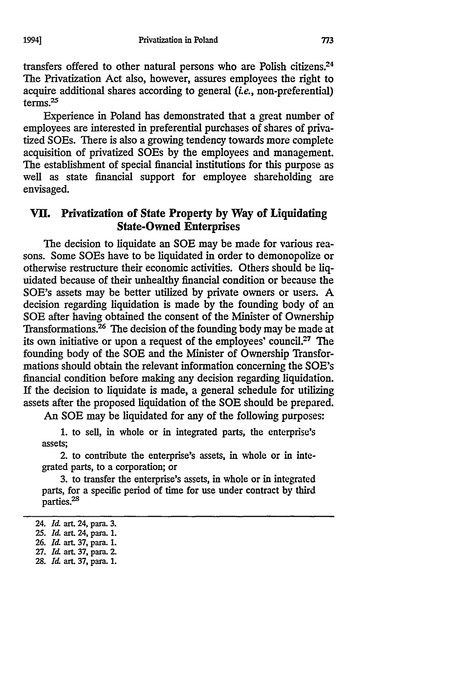transfers offered to other natural persons who are Polish citizens.<sup>24</sup> The Privatization Act also, however, assures employees the right to acquire additional shares according to general *(i.e.*, non-preferential) terms.25

Experience in Poland has demonstrated that a great number of employees are interested in preferential purchases of shares of privatized SOEs. There is also a growing tendency towards more complete acquisition of privatized SOEs by the employees and management. The establishment of special financial institutions for this purpose as well as state financial support for employee shareholding are envisaged.

# **VII.** Privatization of State Property **by** Way of Liquidating State-Owned Enterprises

The decision to liquidate an **SOE** may be made for various reasons. Some SOEs have to be liquidated in order to demonopolize or otherwise restructure their economic activities. Others should be liquidated because of their unhealthy financial condition or because the SOE's assets may be better utilized by private owners or users. **A** decision regarding liquidation is made by the founding body of an SOE after having obtained the consent of the Minister of Ownership Transformations.<sup>26</sup> The decision of the founding body may be made at its own initiative or upon a request of the employees' council.<sup>27</sup> The founding body of the **SOE** and the Minister of Ownership Transformations should obtain the relevant information concerning the SOE's financial condition before making any decision regarding liquidation. If the decision to liquidate is made, a general schedule for utilizing assets after the proposed liquidation of the **SOE** should be prepared.

An **SOE** may be liquidated for any of the following purposes:

1. to sell, in whole or in integrated parts, the enterprise's assets;

2. to contribute the enterprise's assets, in whole or in integrated parts, to a corporation; or

3. to transfer the enterprise's assets, in whole or in integrated parts, for a specific period of time for use under contract by third parties.2s

<sup>24.</sup> *Id.* art. 24, para. 3.

<sup>25.</sup> *Id.* art. 24, para. 1.

<sup>26.</sup> *Id.* art. 37, para. 1.

<sup>27.</sup> *Id.* art. 37, para. 2.

**<sup>28.</sup>** *Id.* art. **37,** para. **1.**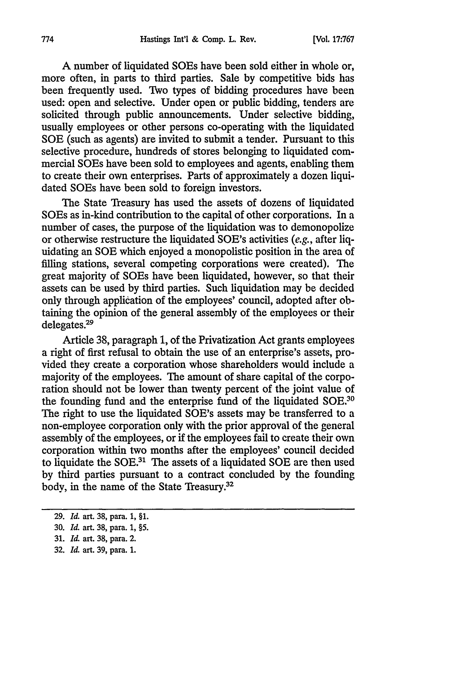A number of liquidated SOEs have been sold either in whole or, more often, in parts to third parties. Sale by competitive bids has been frequently used. Two types of bidding procedures have been used: open and selective. Under open or public bidding, tenders are solicited through public announcements. Under selective bidding, usually employees or other persons co-operating with the liquidated SOE (such as agents) are invited to submit a tender. Pursuant to this selective procedure, hundreds of stores belonging to liquidated commercial SOEs have been sold to employees and agents, enabling them to create their own enterprises. Parts of approximately a dozen liquidated SOEs have been sold to foreign investors.

The State Treasury has used the assets of dozens of liquidated SOEs as in-kind contribution to the capital of other corporations. In a number of cases, the purpose of the liquidation was to demonopolize or otherwise restructure the liquidated SOE's activities (e.g., after liquidating an **SOE** which enjoyed a monopolistic position in the area of filling stations, several competing corporations were created). The great majority of SOEs have been liquidated, however, so that their assets can be used by third parties. Such liquidation may be decided only through application of the employees' council, adopted after obtaining the opinion of the general assembly of the employees or their delegates.<sup>29</sup>

Article 38, paragraph 1, of the Privatization Act grants employees a right of first refusal to obtain the use of an enterprise's assets, provided they create a corporation whose shareholders would include a majority of the employees. The amount of share capital of the corporation should not be lower than twenty percent of the joint value of the founding fund and the enterprise fund of the liquidated **SOE.<sup>30</sup>** The right to use the liquidated SOE's assets may be transferred to a non-employee corporation only with the prior approval of the general assembly of the employees, or if the employees fail to create their own corporation within two months after the employees' council decided to liquidate the SOE.<sup>31</sup> The assets of a liquidated SOE are then used by third parties pursuant to a contract concluded by the founding body, in the name of the State Treasury.32

<sup>29.</sup> *Id.* art. 38, para. **1,** §1.

<sup>30.</sup> *Id.* art. 38, para. 1, §5.

<sup>31.</sup> *Id.* art. 38, para. 2.

<sup>32.</sup> *Id.* art. 39, para. 1.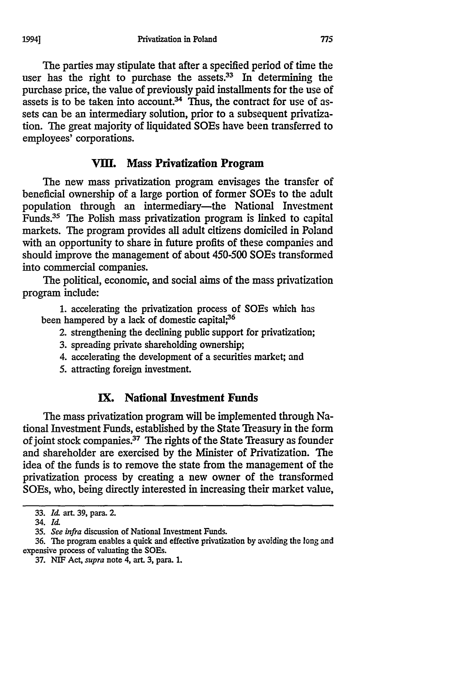The parties may stipulate that after a specified period of time the user has the right to purchase the assets. $33$  In determining the purchase price, the value of previously paid installments for the use of assets is to be taken into account.<sup>34</sup> Thus, the contract for use of assets can be an intermediary solution, prior to a subsequent privatization. The great majority of liquidated SOEs have been transferred to employees' corporations.

#### **VIII.** Mass **Privatization Program**

The new mass privatization program envisages the transfer of beneficial ownership of a large portion of former SOEs to the adult population through an intermediary-the National Investment Funds.35 The Polish mass privatization program is linked to capital markets. The program provides all adult citizens domiciled in Poland with an opportunity to share in future profits of these companies and should improve the management of about 450-500 SOEs transformed into commercial companies.

The political, economic, and social aims of the mass privatization program include:

**1.** accelerating the privatization process of SOEs which has been hampered by a lack of domestic capital,  $36$ 

- 2. strengthening the declining public support for privatization;
- 3. spreading private shareholding ownership;
- 4. accelerating the development of a securities market; and
- 5. attracting foreign investment.

# **IX. National Investment Funds**

The mass privatization program will be implemented through National Investment Funds, established by the State Treasury in the form of joint stock companies.37 The rights of the State Treasury as founder and shareholder are exercised by the Minister of Privatization. The idea of the funds is to remove the state from the management of the privatization process by creating a new owner of the transformed SOEs, who, being directly interested in increasing their market value,

**<sup>33.</sup>** *Id.* art. **39,** para. 2.

<sup>34.</sup> Id.

*<sup>35.</sup> See infra* discussion of National Investment Funds.

**<sup>36.</sup>** The program enables a quick and effective privatization **by** avoiding the long and expensive process of valuating the SOEs.

<sup>37.</sup> NIF Act, *supra* note 4, art. 3, para. 1.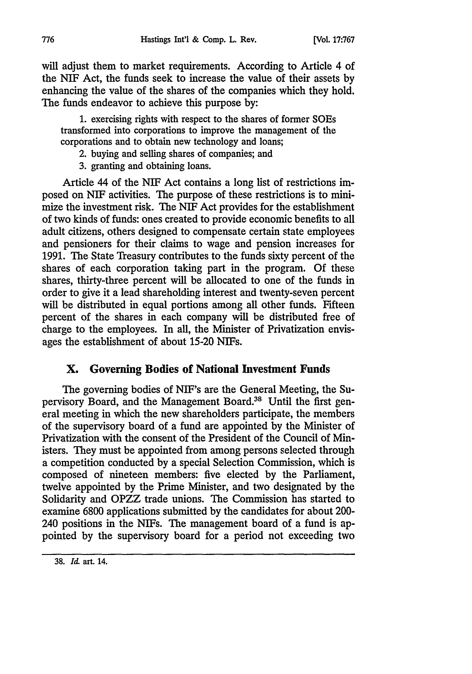will adjust them to market requirements. According to Article 4 of the NIF Act, the funds seek to increase the value of their assets by enhancing the value of the shares of the companies which they hold. The funds endeavor to achieve this purpose by:

1. exercising rights with respect to the shares of former SOEs transformed into corporations to improve the management of the corporations and to obtain new technology and loans;

- 2. buying and selling shares of companies; and
- 3. granting and obtaining loans.

Article 44 of the NIF Act contains a long list of restrictions imposed on NIF activities. The purpose of these restrictions is to minimize the investment risk. The NIF Act provides for the establishment of two kinds of funds: ones created to provide economic benefits to all adult citizens, others designed to compensate certain state employees and pensioners for their claims to wage and pension increases for 1991. The State Treasury contributes to the funds sixty percent of the shares of each corporation taking part in the program. Of these shares, thirty-three percent will be allocated to one of the funds in order to give it a lead shareholding interest and twenty-seven percent will be distributed in equal portions among all other funds. Fifteen percent of the shares in each company will be distributed free of charge to the employees. In all, the Minister of Privatization envisages the establishment of about 15-20 NIFs.

#### **X. Governing Bodies of National Investment Funds**

The governing bodies of NIF's are the General Meeting, the Supervisory Board, and the Management Board.<sup>38</sup> Until the first general meeting in which the new shareholders participate, the members of the supervisory board of a fund are appointed by the Minister of Privatization with the consent of the President of the Council of Ministers. They must be appointed from among persons selected through a competition conducted by a special Selection Commission, which is composed of nineteen members: five elected by the Parliament, twelve appointed by the Prime Minister, and two designated by the Solidarity and OPZZ trade unions. The Commission has started to examine 6800 applications submitted by the candidates for about 200- 240 positions in the NIFs. The management board of a fund is appointed by the supervisory board for a period not exceeding two

<sup>38.</sup> *Id.* art. 14.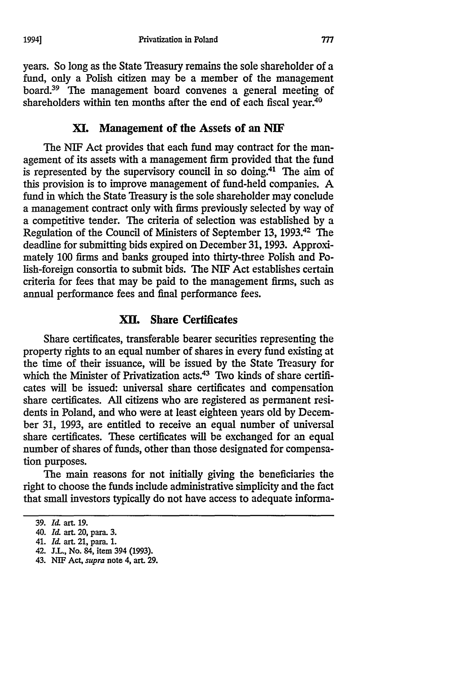years. So long as the State Treasury remains the sole shareholder of a fund, only a Polish citizen may be a member of the management board.<sup>39</sup> The management board convenes a general meeting of shareholders within ten months after the end of each fiscal year. $40$ 

#### **XI. Management of the Assets of an NIF**

The NIF Act provides that each fund may contract for the management of its assets with a management firm provided that the fund is represented by the supervisory council in so doing.41 The aim of this provision is to improve management of fund-held companies. A fund in which the State Treasury is the sole shareholder may conclude a management contract only with firms previously selected by way of a competitive tender. The criteria of selection was established by a Regulation of the Council of Ministers of September 13, 199342 The deadline for submitting bids expired on December **31,** 1993. Approximately 100 firms and banks grouped into thirty-three Polish and Polish-foreign consortia to submit bids. The **NIF** Act establishes certain criteria for fees that may be paid to the management firms, such as annual performance fees and final performance fees.

#### **XII. Share Certificates**

Share certificates, transferable bearer securities representing the property rights to an equal number of shares in every fund existing at the time of their issuance, will be issued by the State Treasury for which the Minister of Privatization acts.<sup>43</sup> Two kinds of share certificates will be issued: universal share certificates and compensation share certificates. All citizens who are registered as permanent residents in Poland, and who were at least eighteen years old by December 31, 1993, are entitled to receive an equal number of universal share certificates. These certificates will be exchanged for an equal number of shares of funds, other than those designated for compensation purposes.

The main reasons for not initially giving the beneficiaries the right to choose the funds include administrative simplicity and the fact that small investors typically do not have access to adequate informa-

<sup>39.</sup> *Id.* art. **19.**

<sup>40.</sup> *Id.* art. 20, para. 3.

<sup>41.</sup> *I&* art. 21, para. **1.**

<sup>42.</sup> J.L., No. 84, item 394 (1993).

<sup>43.</sup> *NIF* Act, *supra* note 4, art. 29.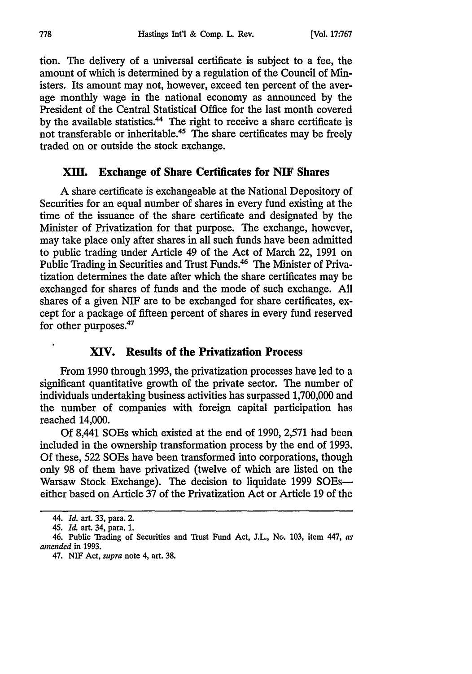tion. The delivery of a universal certificate is subject to a fee, the amount of which is determined by a regulation of the Council of Ministers. Its amount may not, however, exceed ten percent of the average monthly wage **in** the national economy as announced by the President of the Central Statistical Office for the last month covered by the available statistics.<sup>44</sup> The right to receive a share certificate is not transferable or inheritable.<sup>45</sup> The share certificates may be freely traded on or outside the stock exchange.

#### **XmfI. Exchange of Share Certificates for NIF Shares**

**A** share certificate is exchangeable at the National Depository of Securities for an equal number of shares in every fund existing at the time of the issuance of the share certificate and designated by the Minister of Privatization for that purpose. The exchange, however, may take place only after shares in all such funds have been admitted to public trading under Article 49 of the Act of March 22, 1991 on Public Trading in Securities and Trust Funds.46 The Minister of Privatization determines the date after which the share certificates may be exchanged for shares of funds and the mode of such exchange. All shares of a given NIF are to be exchanged for share certificates, except for a package of fifteen percent of shares in every fund reserved for other purposes.47

## **XIV. Results of the Privatization Process**

From 1990 through 1993, the privatization processes have led to a significant quantitative growth of the private sector. The number of individuals undertaking business activities has surpassed 1,700,000 and the number of companies with foreign capital participation has reached 14,000.

Of 8,441 SOEs which existed at the end of 1990, 2,571 had been included in the ownership transformation process by the end of 1993. Of these, 522 SOEs have been transformed into corporations, though only 98 of them have privatized (twelve of which are listed on the Warsaw Stock Exchange). The decision to liquidate 1999 SOEseither based on Article 37 of the Privatization Act or Article 19 of the

<sup>44.</sup> *Id.* art. 33, para. 2.

<sup>45.</sup> *Id.* art. 34, para. 1.

<sup>46.</sup> Public Trading of Securities and Trust Fund Act, J.L, No. 103, item 447, *as amended in* 1993.

<sup>47.</sup> NIF Act, *supra* note 4, art. 38.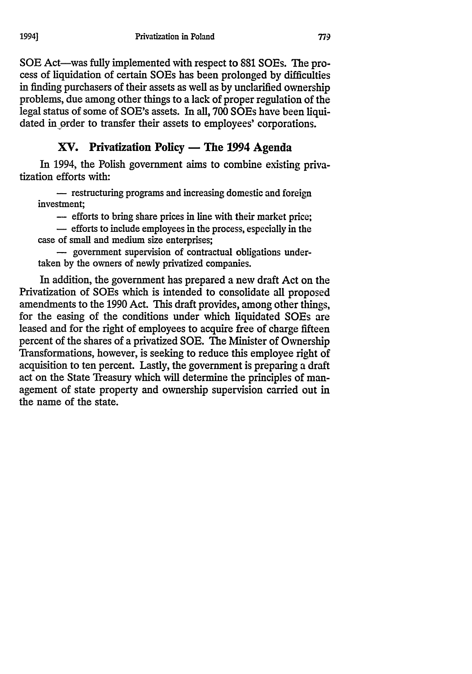**SOE** Act-was fully implemented with respect to **881** SOEs. The process of liquidation of certain SOEs has been prolonged by difficulties in finding purchasers of their assets as well as by unclarified ownership problems, due among other things to a lack of proper regulation of the legal status of some of SOE's assets. In all, 700 SOEs have been liquidated in order to transfer their assets to employees' corporations.

# **XV.** Privatization Policy **- The** *1994* **Agenda**

In 1994, the Polish government aims to combine existing privatization efforts with:

**-** restructuring programs and increasing domestic and foreign investment;

- efforts to bring share prices in line with their market price;

**-** efforts to include employees in the process, especially in the case of small and medium size enterprises;

**-** government supervision of contractual obligations undertaken by the owners of newly privatized companies.

In addition, the government has prepared a new draft Act on the Privatization of SOEs which is intended to consolidate all proposed amendments to the 1990 Act. This draft provides, among other things, for the easing of the conditions under which liquidated SOEs are leased and for the right of employees to acquire free of charge fifteen percent of the shares of a privatized SOE. The Minister of Ownership Transformations, however, is seeking to reduce this employee right of acquisition to ten percent. Lastly, the government is preparing a draft act on the State Treasury which will determine the principles of management of state property and ownership supervision carried out in the name of the state.